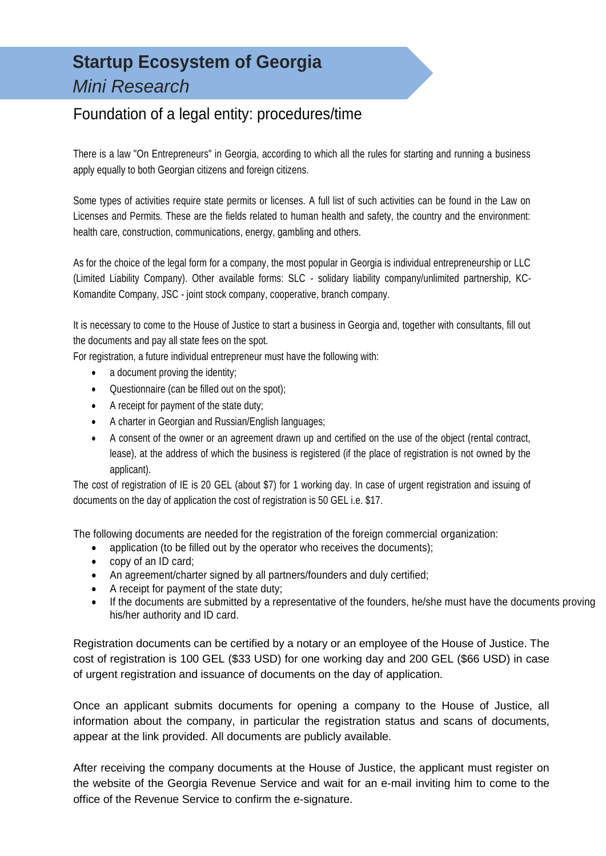# **Startup Ecosystem of Georgia** *Mini Research*

### Foundation of a legal entity: procedures/time

There is a law "On Entrepreneurs" in Georgia, according to which all the rules for starting and running a business apply equally to both Georgian citizens and foreign citizens.

Some types of activities require state permits or licenses. A full list of such activities can be found in the Law on Licenses and Permits. These are the fields related to human health and safety, the country and the environment: health care, construction, communications, energy, gambling and others.

As for the choice of the legal form for a company, the most popular in Georgia is individual entrepreneurship or LLC (Limited Liability Company). Other available forms: SLC - solidary liability company/unlimited partnership, KC-Komandite Company, JSC - joint stock company, cooperative, branch company.

It is necessary to come to the House of Justice to start a business in Georgia and, together with consultants, fill out the documents and pay all state fees on the spot.

For registration, a future individual entrepreneur must have the following with:

- a document proving the identity;
- Questionnaire (can be filled out on the spot);
- A receipt for payment of the state duty;
- A charter in Georgian and Russian/English languages;
- A consent of the owner or an agreement drawn up and certified on the use of the object (rental contract, lease), at the address of which the business is registered (if the place of registration is not owned by the applicant).

The cost of registration of IE is 20 GEL (about \$7) for 1 working day. In case of urgent registration and issuing of documents on the day of application the cost of registration is 50 GEL i.e. \$17.

The following documents are needed for the registration of the foreign commercial organization:

- application (to be filled out by the operator who receives the documents);
- copy of an ID card;
- An agreement/charter signed by all partners/founders and duly certified;
- A receipt for payment of the state duty;
- If the documents are submitted by a representative of the founders, he/she must have the documents proving his/her authority and ID card.

Registration documents can be certified by a notary or an employee of the House of Justice. The cost of registration is 100 GEL (\$33 USD) for one working day and 200 GEL (\$66 USD) in case of urgent registration and issuance of documents on the day of application.

Once an applicant submits documents for opening a company to the House of Justice, all information about the company, in particular the registration status and scans of documents, appear at the link provided. All documents are publicly available.

After receiving the company documents at the House of Justice, the applicant must register on the website of the Georgia Revenue Service and wait for an e-mail inviting him to come to the office of the Revenue Service to confirm the e-signature.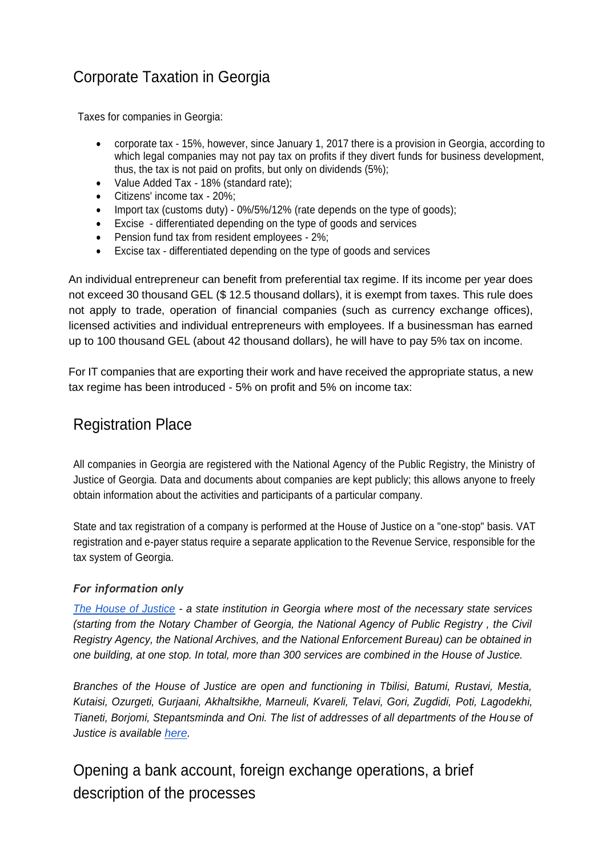# Corporate Taxation in Georgia

Taxes for companies in Georgia:

- corporate tax 15%, however, since January 1, 2017 there is a provision in Georgia, according to which legal companies may not pay tax on profits if they divert funds for business development, thus, the tax is not paid on profits, but only on dividends (5%);
- Value Added Tax 18% (standard rate);
- Citizens' income tax 20%;
- Import tax (customs duty) 0%/5%/12% (rate depends on the type of goods);
- Excise differentiated depending on the type of goods and services
- Pension fund tax from resident employees 2%;
- Excise tax differentiated depending on the type of goods and services

An individual entrepreneur can benefit from preferential tax regime. If its income per year does not exceed 30 thousand GEL (\$ 12.5 thousand dollars), it is exempt from taxes. This rule does not apply to trade, operation of financial companies (such as currency exchange offices), licensed activities and individual entrepreneurs with employees. If a businessman has earned up to 100 thousand GEL (about 42 thousand dollars), he will have to pay 5% tax on income.

For IT companies that are exporting their work and have received the appropriate status, a new tax regime has been introduced - 5% on profit and 5% on income tax:

## Registration Place

All companies in Georgia are registered with the National Agency of the Public Registry, the Ministry of Justice of Georgia. Data and documents about companies are kept publicly; this allows anyone to freely obtain information about the activities and participants of a particular company.

State and tax registration of a company is performed at the House of Justice on a "one-stop" basis. VAT registration and e-payer status require a separate application to the Revenue Service, responsible for the tax system of Georgia.

### *For information only*

*The House of [Justice](http://psh.gov.ge/) - a state institution in Georgia where most of the necessary state services (starting from the Notary Chamber of Georgia, the National Agency of Public Registry , the Civil Registry Agency, the National Archives, and the National Enforcement Bureau) can be obtained in one building, at one stop. In total, more than 300 services are combined in the House of Justice.*

*Branches of the House of Justice are open and functioning in Tbilisi, Batumi, Rustavi, Mestia, Kutaisi, Ozurgeti, Gurjaani, Akhaltsikhe, Marneuli, Kvareli, Telavi, Gori, Zugdidi, Poti, Lagodekhi, Tianeti, Borjomi, Stepantsminda and Oni. The list of addresses of all departments of the House of Justice is available [here.](http://psh.gov.ge/main/page/7/406)*

# Opening a bank account, foreign exchange operations, a brief description of the processes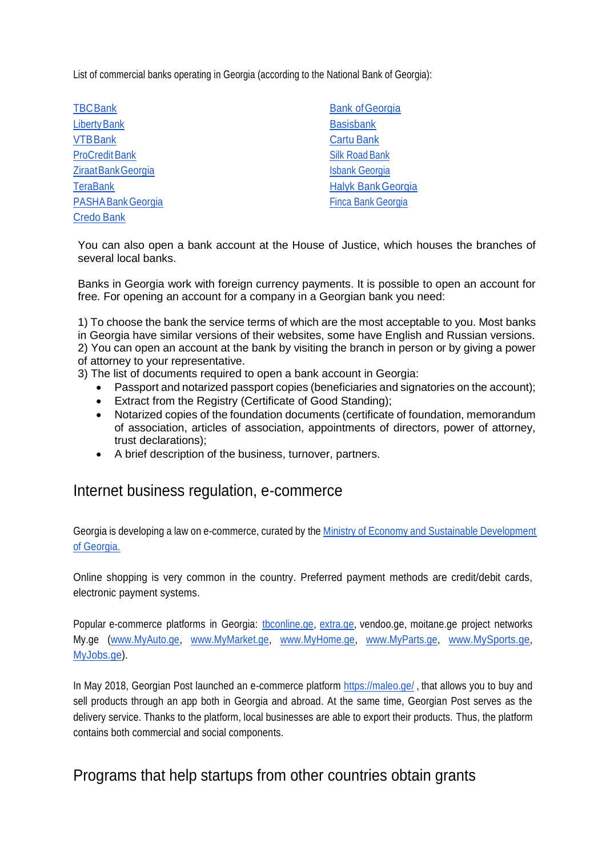List of commercial banks operating in Georgia (according to the National Bank of Georgia):

| <b>TBCBank</b>        | <b>Bank of Georgia</b>    |
|-----------------------|---------------------------|
| <b>Liberty Bank</b>   | <b>Basisbank</b>          |
| <b>VTBBank</b>        | <b>Cartu Bank</b>         |
| <b>ProCredit Bank</b> | <b>Silk Road Bank</b>     |
| Ziraat Bank Georgia   | <b>Isbank Georgia</b>     |
| <b>TeraBank</b>       | <b>Halyk Bank Georgia</b> |
| PASHA Bank Georgia    | <b>Finca Bank Georgia</b> |
| <b>Credo Bank</b>     |                           |

You can also open a bank account at the House of Justice, which houses the branches of several local banks.

Banks in Georgia work with foreign currency payments. It is possible to open an account for free. For opening an account for a company in a Georgian bank you need:

1) To choose the bank the service terms of which are the most acceptable to you. Most banks in Georgia have similar versions of their websites, some have English and Russian versions. 2) You can open an account at the bank by visiting the branch in person or by giving a power of attorney to your representative.

- 3) The list of documents required to open a bank account in Georgia:
	- Passport and notarized passport copies (beneficiaries and signatories on the account);
	- Extract from the Registry (Certificate of Good Standing);
	- Notarized copies of the foundation documents (certificate of foundation, memorandum of association, articles of association, appointments of directors, power of attorney, trust declarations);
	- A brief description of the business, turnover, partners.

### Internet business regulation, e-commerce

Georgia is developing a law on e-commerce, curated by the Ministry of Economy and Sustainable Development of Georgia.

Online shopping is very common in the country. Preferred payment methods are credit/debit cards, electronic payment systems.

Popular e-commerce platforms in Georgia: *[tbconline.ge,](https://tbconline.ge/tbcrd/login?t=false) [extra.ge,](https://tbconline.ge/tbcrd/login?t=false) vendoo.ge, moitane.ge project networks* My.ge [\(www.MyAuto.ge, www.MyMarket.ge,](http://www.myauto.ge/) [www.MyHome.ge, www.MyParts.ge,](http://www.myhome.ge/) [www.MySports.ge,](http://www.mysports.ge/) [MyJobs.ge\)](https://www.myjobs.ge/).

In May 2018, Georgian Post launched an e-commerce platform<https://maleo.ge/> , that allows you to buy and sell products through an app both in Georgia and abroad. At the same time, Georgian Post serves as the delivery service. Thanks to the platform, local businesses are able to export their products. Thus, the platform contains both commercial and social components.

### Programs that help startups from other countries obtain grants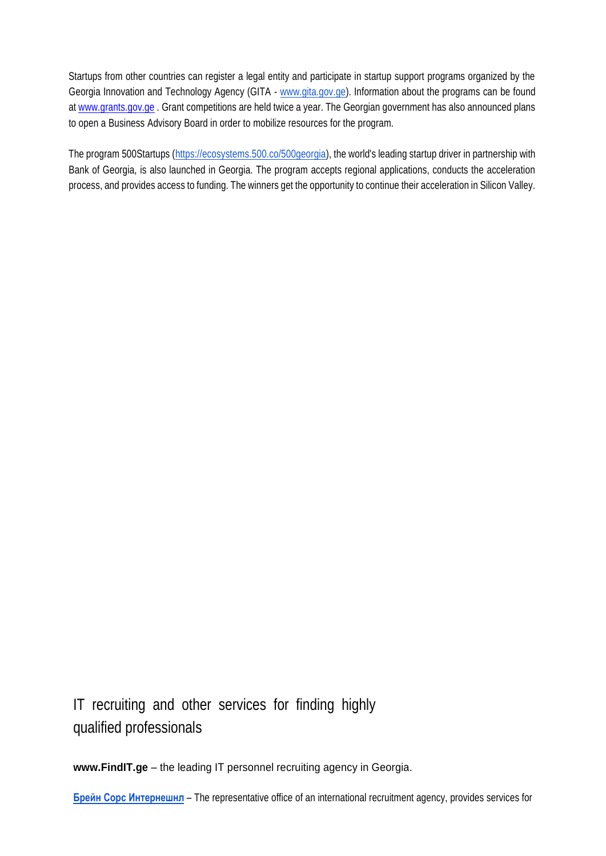Startups from other countries can register a legal entity and participate in startup support programs organized by the Georgia Innovation and Technology Agency (GITA - [www.gita.gov.ge\)](http://www.gita.gov.ge/). Information about the programs can be found at [www.grants.gov.ge](http://www.grants.gov.ge/) . Grant competitions are held twice a year. The Georgian government has also announced plans to open a Business Advisory Board in order to mobilize resources for the program.

The program 500Startups [\(https://ecosystems.500.co/500georgia\)](https://ecosystems.500.co/500georgia), the world's leading startup driver in partnership with Bank of Georgia, is also launched in Georgia. The program accepts regional applications, conducts the acceleration process, and provides access to funding. The winners get the opportunity to continue their acceleration in Silicon Valley.

IT recruiting and other services for finding highly qualified professionals

**[www.FindIT.ge](http://www.findit.ge/)** – the leading IT personnel recruiting agency in Georgia.

**Брейн Сорс [Интернешнл](http://brain-source.ge/)** – The representative office of an international recruitment agency, provides services for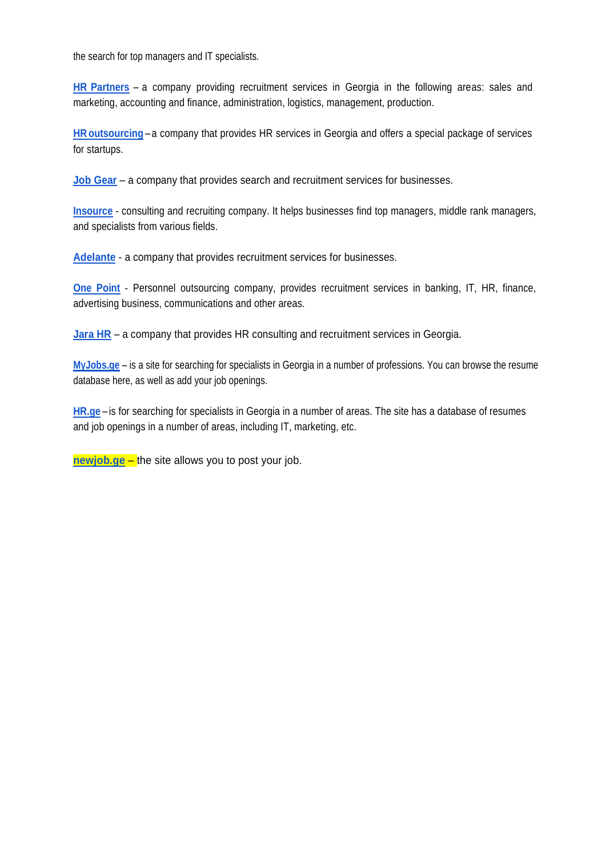the search for top managers and IT specialists.

**HR [Partners](https://hrpartners.ge/)** – a company providing recruitment services in Georgia in the following areas: sales and marketing, accounting and finance, administration, logistics, management, production.

**HR [outsourcing](http://hroutsourcing.ge/en)** – a company that provides HR services in Georgia and offers a special package of services for startups.

**[Job Gear](https://en.jobgear.ge/)** – a company that provides search and recruitment services for businesses.

**[Insource](http://www.insource.ge/)** - consulting and recruiting company. It helps businesses find top managers, middle rank managers, and specialists from various fields.

**[Adelante](http://www.adelante.ge/)** - a company that provides recruitment services for businesses.

**[One Point](https://www.onepoint.ge/)** - Personnel outsourcing company, provides recruitment services in banking, IT, HR, finance, advertising business, communications and other areas.

**[Jara HR](https://web.facebook.com/jarahrconsulting/about/?_rdc=11&_rdr)** – a company that provides HR consulting and recruitment services in Georgia.

**[MyJobs.ge](https://www.myjobs.ge/ru/resumes/)** – is a site for searching for specialists in Georgia in a number of professions. You can browse the resume database here, as well as add your job openings.

**[HR.ge](https://www.hr.ge/)** – is for searching for specialists in Georgia in a number of areas. The site has a database of resumes and job openings in a number of areas, including IT, marketing, etc.

**[newjob.ge](https://www.newjob.ge/)** – the site allows you to post your job.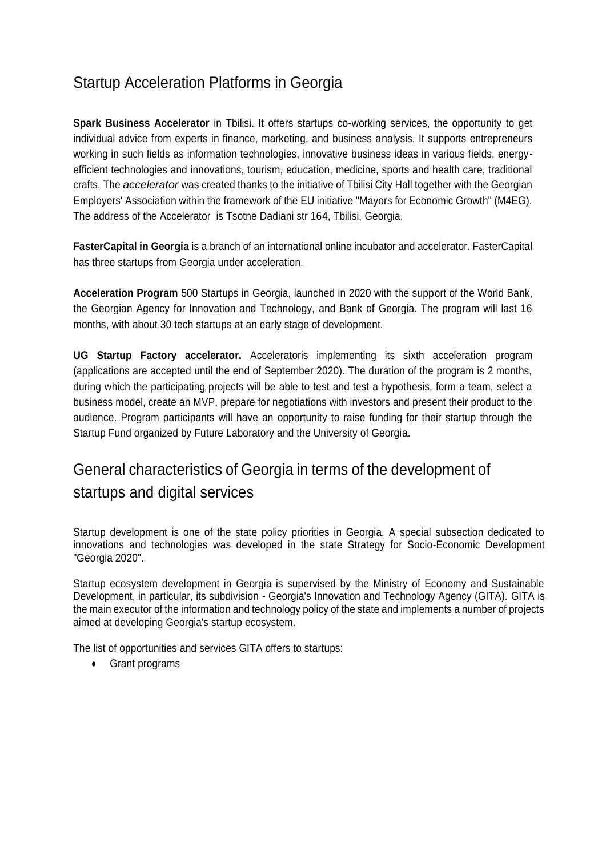### Startup Acceleration Platforms in Georgia

**Spark Business Accelerator** in Tbilisi. It offers startups co-working services, the opportunity to get individual advice from experts in finance, marketing, and business analysis. It supports entrepreneurs working in such fields as information technologies, innovative business ideas in various fields, energyefficient technologies and innovations, tourism, education, medicine, sports and health care, traditional crafts. The *accelerator* was created thanks to the initiative of Tbilisi City Hall together with the Georgian Employers' Association within the framework of the EU initiative "Mayors for Economic Growth" (M4EG). The address of the Accelerator is Tsotne Dadiani str 164, Tbilisi, Georgia.

**FasterCapital in Georgia** is a branch of an international online incubator and accelerator. FasterCapital has three startups from Georgia under acceleration.

**Acceleration Program** 500 Startups in Georgia, launched in 2020 with the support of the World Bank, the Georgian Agency for Innovation and Technology, and Bank of Georgia. The program will last 16 months, with about 30 tech startups at an early stage of development.

**UG Startup Factory accelerator.** Acceleratoris implementing its sixth acceleration program (applications are accepted until the end of September 2020). The duration of the program is 2 months, during which the participating projects will be able to test and test a hypothesis, form a team, select a business model, create an MVP, prepare for negotiations with investors and present their product to the audience. Program participants will have an opportunity to raise funding for their startup through the Startup Fund organized by Future Laboratory and the University of Georgia.

# General characteristics of Georgia in terms of the development of startups and digital services

Startup development is one of the state policy priorities in Georgia. A special subsection dedicated to innovations and technologies was developed in the state Strategy for Socio-Economic Development "Georgia 2020".

Startup ecosystem development in Georgia is supervised by the Ministry of Economy and Sustainable Development, in particular, its subdivision - Georgia's Innovation and Technology Agency (GITA). GITA is the main executor of the information and technology policy of the state and implements a number of projects aimed at developing Georgia's startup ecosystem.

The list of opportunities and services GITA offers to startups:

● Grant programs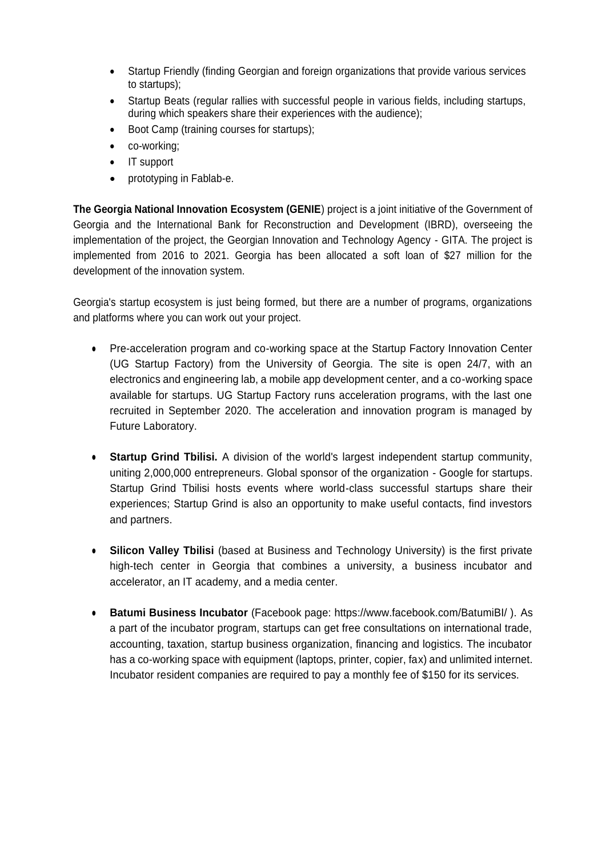- Startup Friendly (finding Georgian and foreign organizations that provide various services to startups);
- Startup Beats (regular rallies with successful people in various fields, including startups, during which speakers share their experiences with the audience);
- Boot Camp (training courses for startups);
- co-working;
- IT support
- prototyping in Fablab-e.

**The Georgia National Innovation Ecosystem (GENIE**) project is a joint initiative of the Government of Georgia and the International Bank for Reconstruction and Development (IBRD), overseeing the implementation of the project, the Georgian Innovation and Technology Agency - GITA. The project is implemented from 2016 to 2021. Georgia has been allocated a soft loan of \$27 million for the development of the innovation system.

Georgia's startup ecosystem is just being formed, but there are a number of programs, organizations and platforms where you can work out your project.

- Pre-acceleration program and co-working space at the Startup Factory Innovation Center (UG Startup Factory) from the University of Georgia. The site is open 24/7, with an electronics and engineering lab, a mobile app development center, and a co-working space available for startups. UG Startup Factory runs acceleration programs, with the last one recruited in September 2020. The acceleration and innovation program is managed by Future Laboratory.
- **Startup Grind Tbilisi.** A division of the world's largest independent startup community, uniting 2,000,000 entrepreneurs. Global sponsor of the organization - Google for startups. Startup Grind Tbilisi hosts events where world-class successful startups share their experiences; Startup Grind is also an opportunity to make useful contacts, find investors and partners.
- **Silicon Valley Tbilisi** (based at Business and Technology University) is the first private high-tech center in Georgia that combines a university, a business incubator and accelerator, an IT academy, and a media center.
- **Batumi Business Incubator** (Facebook page: https://www.facebook.com/BatumiBI/ ). As a part of the incubator program, startups can get free consultations on international trade, accounting, taxation, startup business organization, financing and logistics. The incubator has a co-working space with equipment (laptops, printer, copier, fax) and unlimited internet. Incubator resident companies are required to pay a monthly fee of \$150 for its services.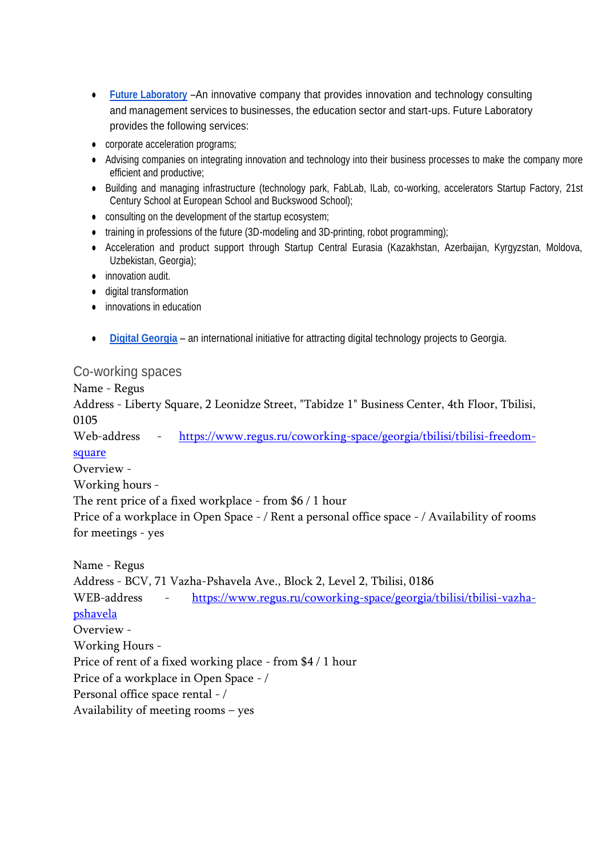- **[Future Laboratory](https://www.futurelab.ge/)** –An innovative company that provides innovation and technology consulting and management services to businesses, the education sector and start-ups. Future Laboratory provides the following services:
- corporate acceleration programs;
- Advising companies on integrating innovation and technology into their business processes to make the company more efficient and productive;
- Building and managing infrastructure (technology park, FabLab, ILab, co-working, accelerators Startup Factory, 21st Century School at European School and Buckswood School);
- consulting on the development of the startup ecosystem;
- training in professions of the future (3D-modeling and 3D-printing, robot programming);
- Acceleration and product support through Startup Central Eurasia (Kazakhstan, Azerbaijan, Kyrgyzstan, Moldova, Uzbekistan, Georgia);
- innovation audit.
- digital transformation
- innovations in education
- **[Digital Georgia](https://digital-georgia.org/digitalhot-ru/)** an international initiative for attracting digital technology projects to Georgia.

### Co-working spaces

Name - Regus

Address - Liberty Square, 2 Leonidze Street, "Tabidze 1" Business Center, 4th Floor, Tbilisi, 0105

Web-address - [https://www.regus.ru/coworking-space/georgia/tbilisi/tbilisi-freedom](https://www.regus.ru/coworking-space/georgia/tbilisi/tbilisi-freedom-square)[square](https://www.regus.ru/coworking-space/georgia/tbilisi/tbilisi-freedom-square)

Overview -

Working hours -

The rent price of a fixed workplace - from \$6 / 1 hour

Price of a workplace in Open Space - / Rent a personal office space - / Availability of rooms for meetings - yes

Name - Regus Address - BCV, 71 Vazha-Pshavela Ave., Block 2, Level 2, Tbilisi, 0186 WEB-address - [https://www.regus.ru/coworking-space/georgia/tbilisi/tbilisi-vazha](https://www.regus.ru/coworking-space/georgia/tbilisi/tbilisi-vazha-pshavela)[pshavela](https://www.regus.ru/coworking-space/georgia/tbilisi/tbilisi-vazha-pshavela) Overview - Working Hours - Price of rent of a fixed working place - from \$4 / 1 hour Price of a workplace in Open Space - / Personal office space rental - / Availability of meeting rooms – yes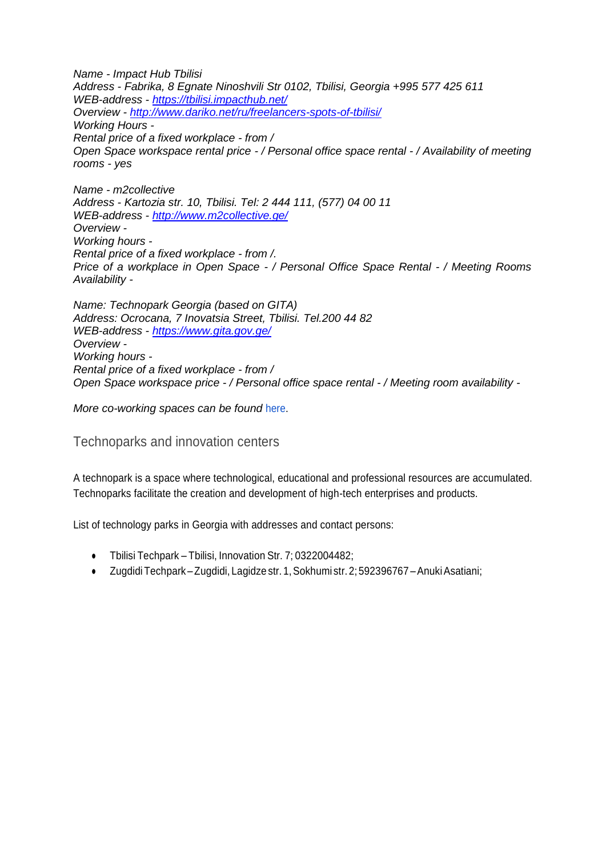*Name - Impact Hub Tbilisi Address - Fabrika, 8 Egnate Ninoshvili Str 0102, Tbilisi, Georgia +995 577 425 611 WEB-address - <https://tbilisi.impacthub.net/> Overview - <http://www.dariko.net/ru/freelancers-spots-of-tbilisi/> Working Hours - Rental price of a fixed workplace - from / Open Space workspace rental price - / Personal office space rental - / Availability of meeting rooms - yes*

*Name - m2collective Address - Kartozia str. 10, Tbilisi. Tel: 2 444 111, (577) 04 00 11 WEB-address - <http://www.m2collective.ge/> Overview - Working hours - Rental price of a fixed workplace - from /. Price of a workplace in Open Space - / Personal Office Space Rental - / Meeting Rooms Availability -*

*Name: Technopark Georgia (based on GITA) Address: Ocrocana, 7 Inovatsia Street, Tbilisi. Tel.200 44 82 WEB-address - <https://www.gita.gov.ge/> Overview - Working hours - Rental price of a fixed workplace - from / Open Space workspace price - / Personal office space rental - / Meeting room availability -*

*More co-working spaces can be found* [here.](https://www.yell.ge/companies.php?lan=rus&rub=3665)

Technoparks and innovation centers

A technopark is a space where technological, educational and professional resources are accumulated. Technoparks facilitate the creation and development of high-tech enterprises and products.

List of technology parks in Georgia with addresses and contact persons:

- Tbilisi Techpark Tbilisi, Innovation Str. 7; 0322004482;
- Zugdidi Techpark –Zugdidi, Lagidze str. 1,Sokhumi str. 2; 592396767 –AnukiAsatiani;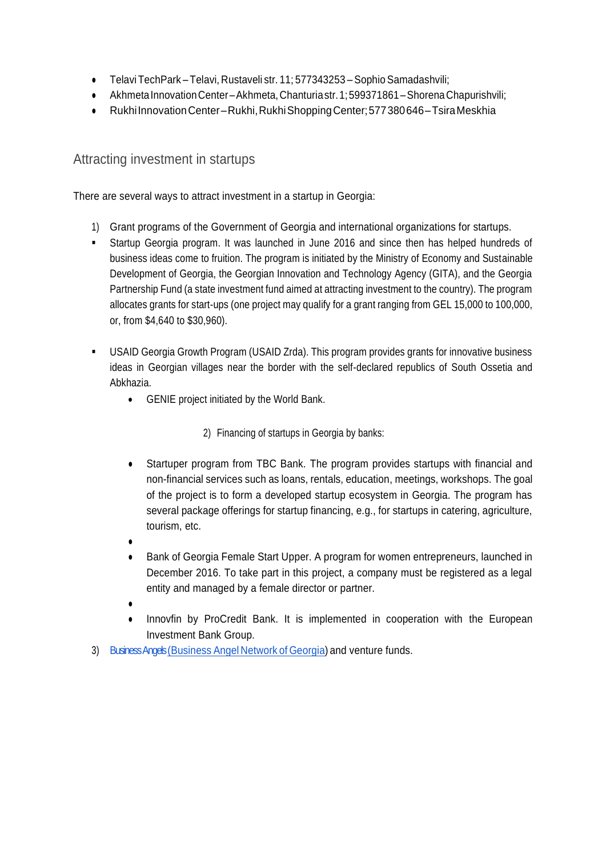- Telavi Tech Park Telavi, Rustaveli str. 11; 577343253 Sophio Samadashvili;
- Akhmeta Innovation Center–Akhmeta, Chanturiastr. 1; 599371861 Shorena Chapurishvili;
- Rukhi Innovation Center–Rukhi, Rukhi Shopping Center; 577 380 646 Tsira Meskhia

### Attracting investment in startups

There are several ways to attract investment in a startup in Georgia:

- 1) Grant programs of the Government of Georgia and international organizations for startups.
- Startup Georgia program. It was launched in June 2016 and since then has helped hundreds of business ideas come to fruition. The program is initiated by the Ministry of Economy and Sustainable Development of Georgia, the Georgian Innovation and Technology Agency (GITA), and the Georgia Partnership Fund (a state investment fund aimed at attracting investment to the country). The program allocates grants for start-ups (one project may qualify for a grant ranging from GEL 15,000 to 100,000, or, from \$4,640 to \$30,960).
- USAID Georgia Growth Program (USAID Zrda). This program provides grants for innovative business ideas in Georgian villages near the border with the self-declared republics of South Ossetia and Abkhazia.
	- GENIE project initiated by the World Bank.

2) Financing of startups in Georgia by banks:

- Startuper program from TBC Bank. The program provides startups with financial and non-financial services such as loans, rentals, education, meetings, workshops. The goal of the project is to form a developed startup ecosystem in Georgia. The program has several package offerings for startup financing, e.g., for startups in catering, agriculture, tourism, etc.
- ●
- Bank of Georgia Female Start Upper. A program for women entrepreneurs, launched in December 2016. To take part in this project, a company must be registered as a legal entity and managed by a female director or partner.
- ●
- Innovfin by ProCredit Bank. It is implemented in cooperation with the European Investment Bank Group.
- 3) Business Angels (Business Angel Network of Georgia) and venture funds.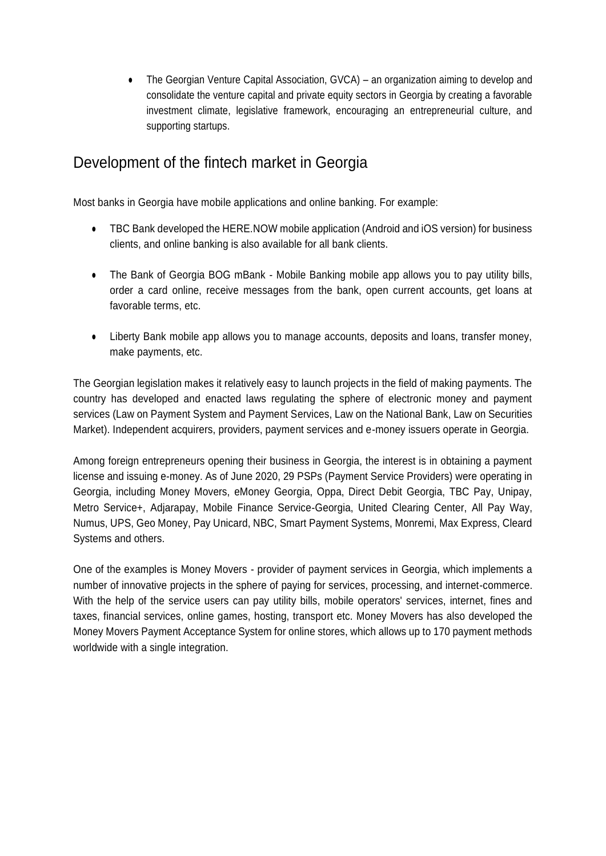• The Georgian Venture Capital Association, GVCA) – an organization aiming to develop and consolidate the venture capital and private equity sectors in Georgia by creating a favorable investment climate, legislative framework, encouraging an entrepreneurial culture, and supporting startups.

### Development of the fintech market in Georgia

Most banks in Georgia have mobile applications and online banking. For example:

- TBC Bank developed the HERE.NOW mobile application (Android and iOS version) for business clients, and online banking is also available for all bank clients.
- The Bank of Georgia BOG mBank Mobile Banking mobile app allows you to pay utility bills, order a card online, receive messages from the bank, open current accounts, get loans at favorable terms, etc.
- Liberty Bank mobile app allows you to manage accounts, deposits and loans, transfer money, make payments, etc.

The Georgian legislation makes it relatively easy to launch projects in the field of making payments. The country has developed and enacted laws regulating the sphere of electronic money and payment services (Law on Payment System and Payment Services, Law on the National Bank, Law on Securities Market). Independent acquirers, providers, payment services and e-money issuers operate in Georgia.

Among foreign entrepreneurs opening their business in Georgia, the interest is in obtaining a payment license and issuing e-money. As of June 2020, 29 PSPs (Payment Service Providers) were operating in Georgia, including Money Movers, eMoney Georgia, Oppa, Direct Debit Georgia, TBC Pay, Unipay, Metro Service+, Adjarapay, Mobile Finance Service-Georgia, United Clearing Center, All Pay Way, Numus, UPS, Geo Money, Pay Unicard, NBC, Smart Payment Systems, Monremi, Max Express, Cleard Systems and others.

One of the examples is Money Movers - provider of payment services in Georgia, which implements a number of innovative projects in the sphere of paying for services, processing, and internet-commerce. With the help of the service users can pay utility bills, mobile operators' services, internet, fines and taxes, financial services, online games, hosting, transport etc. Money Movers has also developed the Money Movers Payment Acceptance System for online stores, which allows up to 170 payment methods worldwide with a single integration.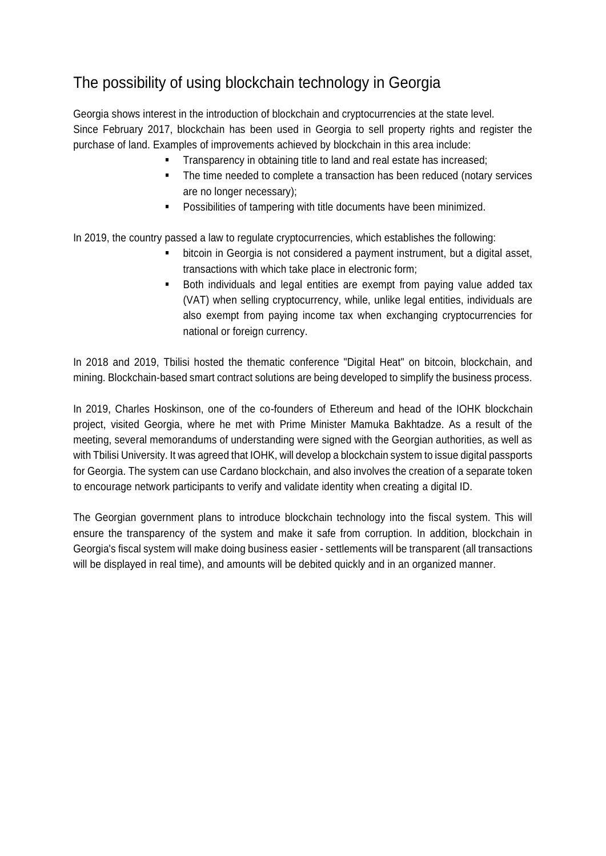# The possibility of using blockchain technology in Georgia

Georgia shows interest in the introduction of blockchain and cryptocurrencies at the state level. Since February 2017, blockchain has been used in Georgia to sell property rights and register the purchase of land. Examples of improvements achieved by blockchain in this area include:

- Transparency in obtaining title to land and real estate has increased;
- The time needed to complete a transaction has been reduced (notary services are no longer necessary);
- **Possibilities of tampering with title documents have been minimized.**

In 2019, the country passed a law to regulate cryptocurrencies, which establishes the following:

- bitcoin in Georgia is not considered a payment instrument, but a digital asset, transactions with which take place in electronic form;
- Both individuals and legal entities are exempt from paying value added tax (VAT) when selling cryptocurrency, while, unlike legal entities, individuals are also exempt from paying income tax when exchanging cryptocurrencies for national or foreign currency.

In 2018 and 2019, Tbilisi hosted the thematic conference "Digital Heat" on bitcoin, blockchain, and mining. Blockchain-based smart contract solutions are being developed to simplify the business process.

In 2019, Charles Hoskinson, one of the co-founders of Ethereum and head of the IOHK blockchain project, visited Georgia, where he met with Prime Minister Mamuka Bakhtadze. As a result of the meeting, several memorandums of understanding were signed with the Georgian authorities, as well as with Tbilisi University. It was agreed that IOHK, will develop a blockchain system to issue digital passports for Georgia. The system can use Cardano blockchain, and also involves the creation of a separate token to encourage network participants to verify and validate identity when creating a digital ID.

The Georgian government plans to introduce blockchain technology into the fiscal system. This will ensure the transparency of the system and make it safe from corruption. In addition, blockchain in Georgia's fiscal system will make doing business easier - settlements will be transparent (all transactions will be displayed in real time), and amounts will be debited quickly and in an organized manner.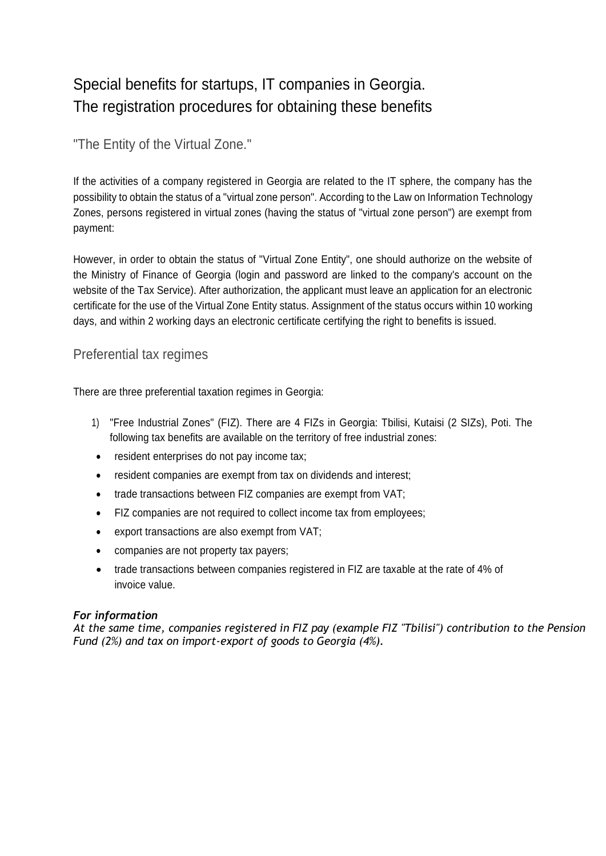# Special benefits for startups, IT companies in Georgia. The registration procedures for obtaining these benefits

"The Entity of the Virtual Zone."

If the activities of a company registered in Georgia are related to the IT sphere, the company has the possibility to obtain the status of a "virtual zone person". According to the Law on Information Technology Zones, persons registered in virtual zones (having the status of "virtual zone person") are exempt from payment:

However, in order to obtain the status of "Virtual Zone Entity", one should authorize on the website of the Ministry of Finance of Georgia (login and password are linked to the company's account on the website of the Tax Service). After authorization, the applicant must leave an application for an electronic certificate for the use of the Virtual Zone Entity status. Assignment of the status occurs within 10 working days, and within 2 working days an electronic certificate certifying the right to benefits is issued.

### Preferential tax regimes

There are three preferential taxation regimes in Georgia:

- 1) "Free Industrial Zones" (FIZ). There are 4 FIZs in Georgia: Tbilisi, Kutaisi (2 SIZs), Poti. The following tax benefits are available on the territory of free industrial zones:
- resident enterprises do not pay income tax;
- resident companies are exempt from tax on dividends and interest;
- trade transactions between FIZ companies are exempt from VAT;
- FIZ companies are not required to collect income tax from employees;
- export transactions are also exempt from VAT;
- companies are not property tax payers;
- trade transactions between companies registered in FIZ are taxable at the rate of 4% of invoice value.

### *For information*

*At the same time, companies registered in FIZ pay (example FIZ "Tbilisi") contribution to the Pension Fund (2%) and tax on import-export of goods to Georgia (4%).*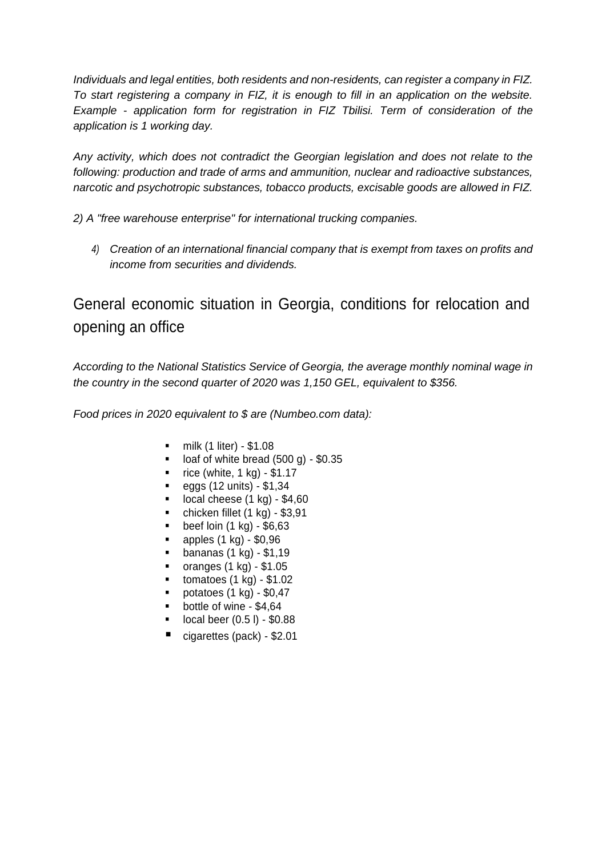*Individuals and legal entities, both residents and non-residents, can register a company in FIZ. To start registering a company in FIZ, it is enough to fill in an application on the website. Example - application form for registration in FIZ Tbilisi. Term of consideration of the application is 1 working day.*

*Any activity, which does not contradict the Georgian legislation and does not relate to the following: production and trade of arms and ammunition, nuclear and radioactive substances, narcotic and psychotropic substances, tobacco products, excisable goods are allowed in FIZ.*

*2) A "free warehouse enterprise" for international trucking companies.*

*4) Creation of an international financial company that is exempt from taxes on profits and income from securities and dividends.*

General economic situation in Georgia, conditions for relocation and opening an office

*According to the National Statistics Service of Georgia, the average monthly nominal wage in the country in the second quarter of 2020 was 1,150 GEL, equivalent to \$356.*

*Food prices in 2020 equivalent to \$ are (Numbeo.com data):*

- milk (1 liter) \$1.08
- loaf of white bread (500 g) \$0.35
- rice (white, 1 kg) \$1.17
- $\bullet$  eggs (12 units) \$1,34
- local cheese (1 kg) \$4,60
- chicken fillet (1 kg) \$3,91
- beef loin (1 kg) \$6,63
- apples (1 kg) \$0,96
- bananas (1 kg) \$1,19
- oranges (1 kg) \$1.05
- tomatoes (1 kg) \$1.02
- potatoes (1 kg) \$0,47
- bottle of wine \$4,64
- local beer (0.5 l) \$0.88
- cigarettes (pack) \$2.01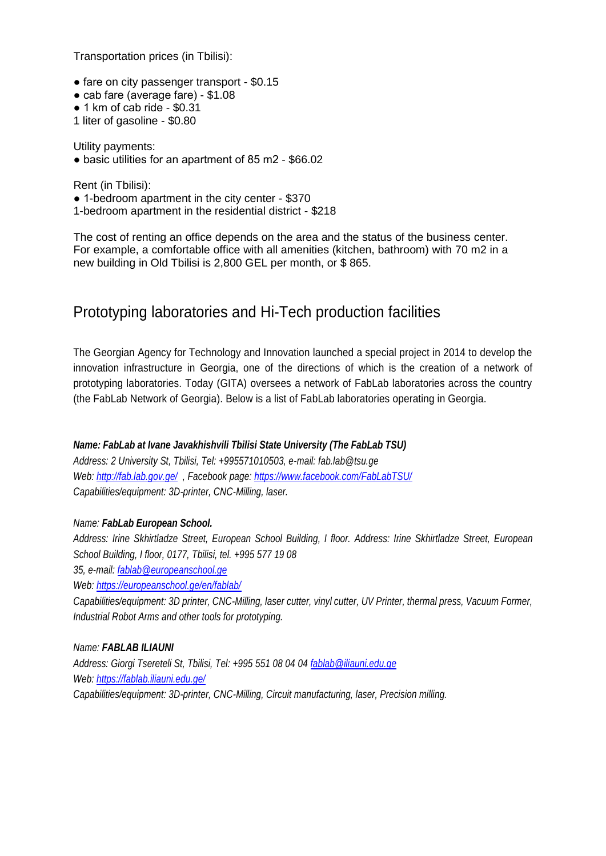Transportation prices (in Tbilisi):

- fare on city passenger transport \$0.15
- cab fare (average fare) \$1.08
- 1 km of cab ride \$0.31
- 1 liter of gasoline \$0.80

Utility payments:

● basic utilities for an apartment of 85 m2 - \$66.02

Rent (in Tbilisi):

● 1-bedroom apartment in the city center - \$370

1-bedroom apartment in the residential district - \$218

The cost of renting an office depends on the area and the status of the business center. For example, a comfortable office with all amenities (kitchen, bathroom) with 70 m2 in a new building in Old Tbilisi is 2,800 GEL per month, or \$ 865.

### Prototyping laboratories and Hi-Tech production facilities

The Georgian Agency for Technology and Innovation launched a special project in 2014 to develop the innovation infrastructure in Georgia, one of the directions of which is the creation of a network of prototyping laboratories. Today (GITA) oversees a network of FabLab laboratories across the country (the FabLab Network of Georgia). Below is a list of FabLab laboratories operating in Georgia.

### *Name: FabLab at Ivane Javakhishvili Tbilisi State University (The FabLab TSU)*

*Address: 2 University St, Tbilisi, Tel: +995571010503, e-mail: fab.lab@tsu.ge Web:<http://fab.lab.gov.ge/> , Facebook page:<https://www.facebook.com/FabLabTSU/> Capabilities/equipment: 3D-printer, CNC-Milling, laser.*

### *Name: FabLab European School.*

*Address: Irine Skhirtladze Street, European School Building, I floor. Address: Irine Skhirtladze Street, European School Building, I floor, 0177, Tbilisi, tel. +995 577 19 08 35, e-mail: [fablab@europeanschool.ge](mailto:fablab@europeanschool.ge) Web:<https://europeanschool.ge/en/fablab/> Capabilities/equipment: 3D printer, CNC-Milling, laser cutter, vinyl cutter, UV Printer, thermal press, Vacuum Former,* 

*Industrial Robot Arms and other tools for prototyping.*

### *Name: FABLAB ILIAUNI*

*Address: Giorgi Tsereteli St, Tbilisi, Tel: +995 551 08 04 04 [fablab@iliauni.edu.ge](mailto:fablab@iliauni.edu.ge) Web:<https://fablab.iliauni.edu.ge/> Capabilities/equipment: 3D-printer, CNC-Milling, Circuit manufacturing, laser, Precision milling.*